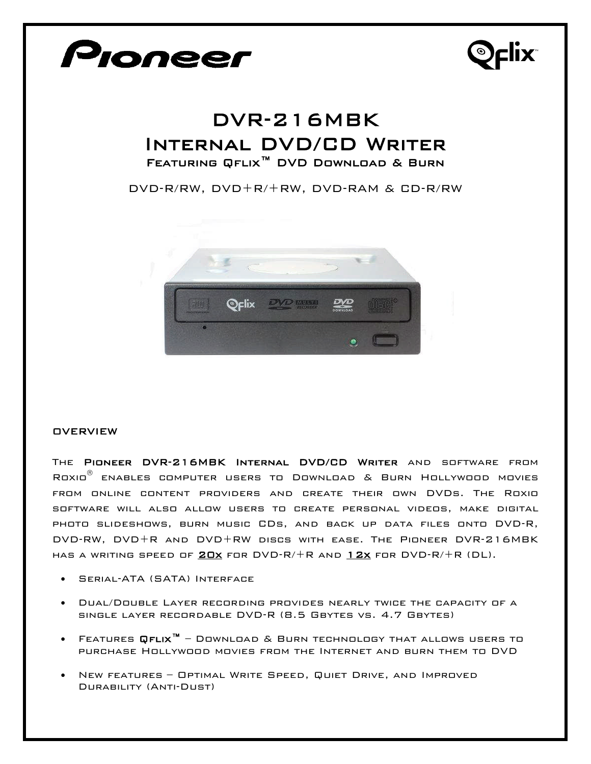

The Pioneer DVR-216MBK Internal DVD/CD Writer and software from Roxio<sup>®</sup> enables computer users to Download & Burn Hollywood movies from online content providers and create their own DVDs. The Roxio software will also allow users to create personal videos, make digital photo slideshows, burn music CDs, and back up data files onto DVD-R, DVD-RW, DVD+R and DVD+RW discs with ease. The Pioneer DVR-216MBK HAS A WRITING SPEED OF  $20x$  for  $DVD-R/+R$  and  $12x$  for  $DVD-R/+R$  (DL).

- Serial-ATA (SATA) Interface
- Dual/Double Layer recording provides nearly twice the capacity of a single layer recordable DVD-R (8.5 Gbytes vs. 4.7 Gbytes)
- Features Qflix™ Download & Burn technology that allows users to purchase Hollywood movies from the Internet and burn them to DVD
- New features Optimal Write Speed, Quiet Drive, and Improved Durability (Anti-Dust)